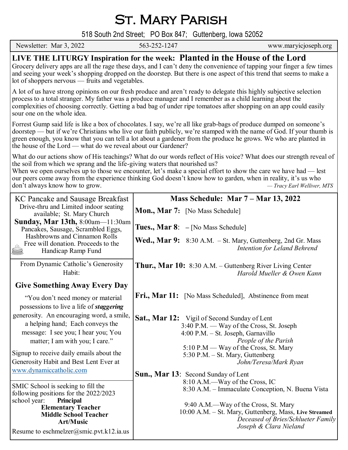# St. Mary Parish

518 South 2nd Street; PO Box 847; Guttenberg, Iowa 52052

|                                                                                                                                                                                                                                                                                                                                                                                                                                                                                                         |              | 518 South 2nd Street; PO Box 847; Guttenberg, Iowa 52052                                                                                                                  |  |
|---------------------------------------------------------------------------------------------------------------------------------------------------------------------------------------------------------------------------------------------------------------------------------------------------------------------------------------------------------------------------------------------------------------------------------------------------------------------------------------------------------|--------------|---------------------------------------------------------------------------------------------------------------------------------------------------------------------------|--|
| Newsletter: Mar 3, 2022                                                                                                                                                                                                                                                                                                                                                                                                                                                                                 | 563-252-1247 | www.maryicjoseph.org                                                                                                                                                      |  |
| LIVE THE LITURGY Inspiration for the week: Planted in the House of the Lord<br>Grocery delivery apps are all the rage these days, and I can't deny the convenience of tapping your finger a few times<br>and seeing your week's shopping dropped on the doorstep. But there is one aspect of this trend that seems to make a<br>lot of shoppers nervous — fruits and vegetables.                                                                                                                        |              |                                                                                                                                                                           |  |
| A lot of us have strong opinions on our fresh produce and aren't ready to delegate this highly subjective selection<br>process to a total stranger. My father was a produce manager and I remember as a child learning about the<br>complexities of choosing correctly. Getting a bad bag of under ripe tomatoes after shopping on an app could easily<br>sour one on the whole idea.                                                                                                                   |              |                                                                                                                                                                           |  |
| Forrest Gump said life is like a box of chocolates. I say, we're all like grab-bags of produce dumped on someone's<br>doorstep — but if we're Christians who live our faith publicly, we're stamped with the name of God. If your thumb is<br>green enough, you know that you can tell a lot about a gardener from the produce he grows. We who are planted in<br>the house of the Lord — what do we reveal about our Gardener?                                                                         |              |                                                                                                                                                                           |  |
| What do our actions show of His teachings? What do our words reflect of His voice? What does our strength reveal of<br>the soil from which we sprang and the life-giving waters that nourished us?<br>When we open ourselves up to those we encounter, let's make a special effort to show the care we have had — lest<br>our peers come away from the experience thinking God doesn't know how to garden, when in reality, it's us who<br>don't always know how to grow.<br>- Tracy Earl Welliver, MTS |              |                                                                                                                                                                           |  |
| KC Pancake and Sausage Breakfast                                                                                                                                                                                                                                                                                                                                                                                                                                                                        |              | Mass Schedule: Mar 7 – Mar 13, 2022                                                                                                                                       |  |
| Drive-thru and Limited indoor seating<br>available; St. Mary Church                                                                                                                                                                                                                                                                                                                                                                                                                                     |              | <b>Mon., Mar 7:</b> [No Mass Schedule]                                                                                                                                    |  |
| <b>Sunday, Mar 13th, 8:00am</b> —11:30am<br>Pancakes, Sausage, Scrambled Eggs,                                                                                                                                                                                                                                                                                                                                                                                                                          |              | <b>Tues., Mar 8:</b> $-$ [No Mass Schedule]                                                                                                                               |  |
| Hashbrowns and Cinnamon Rolls<br>Free will donation. Proceeds to the<br>Handicap Ramp Fund                                                                                                                                                                                                                                                                                                                                                                                                              |              | Wed., Mar 9: 8:30 A.M. - St. Mary, Guttenberg, 2nd Gr. Mass<br>Intention for Leland Behrend                                                                               |  |
| From Dynamic Catholic's Generosity<br>Habit:                                                                                                                                                                                                                                                                                                                                                                                                                                                            |              | <b>Thur., Mar 10:</b> 8:30 A.M. – Guttenberg River Living Center<br>Harold Mueller & Owen Kann                                                                            |  |
| <b>Give Something Away Every Day</b>                                                                                                                                                                                                                                                                                                                                                                                                                                                                    |              |                                                                                                                                                                           |  |
| "You don't need money or material"<br>possessions to live a life of <i>staggering</i>                                                                                                                                                                                                                                                                                                                                                                                                                   |              | <b>Fri., Mar 11:</b> [No Mass Scheduled], Abstinence from meat                                                                                                            |  |
| generosity. An encouraging word, a smile,<br>a helping hand; Each conveys the<br>message: I see you; I hear you; You<br>matter; I am with you; I care."                                                                                                                                                                                                                                                                                                                                                 |              | <b>Sat., Mar 12:</b> Vigil of Second Sunday of Lent<br>3:40 P.M. — Way of the Cross, St. Joseph<br>4:00 P.M. - St. Joseph, Garnavillo<br>People of the Parish             |  |
| Signup to receive daily emails about the<br>Generosity Habit and Best Lent Ever at<br>www.dynamiccatholic.com                                                                                                                                                                                                                                                                                                                                                                                           |              | 5:10 P.M — Way of the Cross, St. Mary<br>5:30 P.M. - St. Mary, Guttenberg<br>John/Teresa/Mark Ryan                                                                        |  |
| SMIC School is seeking to fill the<br>following positions for the 2022/2023<br>school year:<br><b>Principal</b>                                                                                                                                                                                                                                                                                                                                                                                         |              | <b>Sun., Mar 13:</b> Second Sunday of Lent<br>8:10 A.M.-Way of the Cross, IC<br>8:30 A.M. – Immaculate Conception, N. Buena Vista<br>9:40 A.M.—Way of the Cross, St. Mary |  |
| <b>Elementary Teacher</b>                                                                                                                                                                                                                                                                                                                                                                                                                                                                               |              | $10.00 \text{ A} \text{ M}$ $\Omega$ $M_{\text{cav}}$ $C_{\text{c}}$ $H_{\text{cub}}$                                                                                     |  |

10:00 A.M. – St. Mary, Guttenberg, Mass, **Live Streamed**

 *Deceased of Bries/Schlueter Family Joseph & Clara Nieland*

 **Art/Music** Resume to eschmelzer@smic.pvt.k12.ia.us

 **Middle School Teacher**